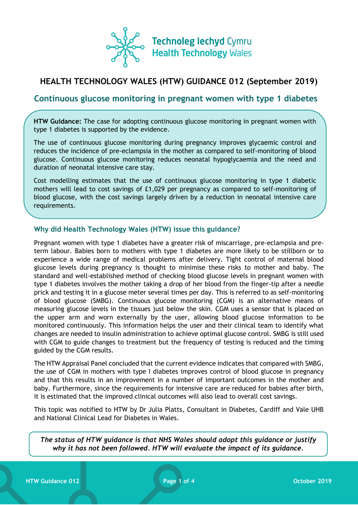

# **HEALTH TECHNOLOGY WALES (HTW) GUIDANCE 012 (September 2019)**

# **Continuous glucose monitoring in pregnant women with type 1 diabetes**

**HTW Guidance:** The case for adopting continuous glucose monitoring in pregnant women with type 1 diabetes is supported by the evidence.

The use of continuous glucose monitoring during pregnancy improves glycaemic control and reduces the incidence of pre-eclampsia in the mother as compared to self-monitoring of blood glucose. Continuous glucose monitoring reduces neonatal hypoglycaemia and the need and duration of neonatal intensive care stay.

Cost modelling estimates that the use of continuous glucose monitoring in type 1 diabetic mothers will lead to cost savings of £1,029 per pregnancy as compared to self-monitoring of blood glucose, with the cost savings largely driven by a reduction in neonatal intensive care requirements.

### **Why did Health Technology Wales (HTW) issue this guidance?**

Pregnant women with type 1 diabetes have a greater risk of miscarriage, pre-eclampsia and preterm labour. Babies born to mothers with type 1 diabetes are more likely to be stillborn or to experience a wide range of medical problems after delivery. Tight control of maternal blood glucose levels during pregnancy is thought to minimise these risks to mother and baby. The standard and well-established method of checking blood glucose levels in pregnant women with type 1 diabetes involves the mother taking a drop of her blood from the finger-tip after a needle prick and testing it in a glucose meter several times per day. This is referred to as self-monitoring of blood glucose (SMBG). Continuous glucose monitoring (CGM) is an alternative means of measuring glucose levels in the tissues just below the skin. CGM uses a sensor that is placed on the upper arm and worn externally by the user, allowing blood glucose information to be monitored continuously. This information helps the user and their clinical team to identify what changes are needed to insulin administration to achieve optimal glucose control. SMBG is still used with CGM to guide changes to treatment but the frequency of testing is reduced and the timing guided by the CGM results.

The HTW Appraisal Panel concluded that the current evidence indicates that compared with SMBG, the use of CGM in mothers with type I diabetes improves control of blood glucose in pregnancy and that this results in an improvement in a number of important outcomes in the mother and baby. Furthermore, since the requirements for intensive care are reduced for babies after birth, it is estimated that the improved clinical outcomes will also lead to overall cost savings.

This topic was notified to HTW by Dr Julia Platts, Consultant in Diabetes, Cardiff and Vale UHB and National Clinical Lead for Diabetes in Wales.

*The status of HTW guidance is that NHS Wales should adopt this guidance or justify why it has not been followed. HTW will evaluate the impact of its guidance.*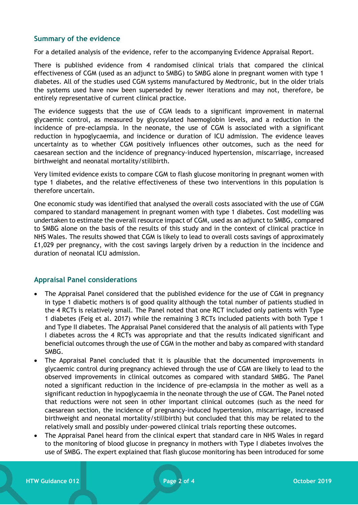## **Summary of the evidence**

For a detailed analysis of the evidence, refer to the accompanying Evidence Appraisal Report.

There is published evidence from 4 randomised clinical trials that compared the clinical effectiveness of CGM (used as an adjunct to SMBG) to SMBG alone in pregnant women with type 1 diabetes. All of the studies used CGM systems manufactured by Medtronic, but in the older trials the systems used have now been superseded by newer iterations and may not, therefore, be entirely representative of current clinical practice.

The evidence suggests that the use of CGM leads to a significant improvement in maternal glycaemic control, as measured by glycosylated haemoglobin levels, and a reduction in the incidence of pre-eclampsia. In the neonate, the use of CGM is associated with a significant reduction in hypoglycaemia, and incidence or duration of ICU admission. The evidence leaves uncertainty as to whether CGM positively influences other outcomes, such as the need for caesarean section and the incidence of pregnancy-induced hypertension, miscarriage, increased birthweight and neonatal mortality/stillbirth.

Very limited evidence exists to compare CGM to flash glucose monitoring in pregnant women with type 1 diabetes, and the relative effectiveness of these two interventions in this population is therefore uncertain.

One economic study was identified that analysed the overall costs associated with the use of CGM compared to standard management in pregnant women with type 1 diabetes. Cost modelling was undertaken to estimate the overall resource impact of CGM, used as an adjunct to SMBG, compared to SMBG alone on the basis of the results of this study and in the context of clinical practice in NHS Wales. The results showed that CGM is likely to lead to overall costs savings of approximately £1,029 per pregnancy, with the cost savings largely driven by a reduction in the incidence and duration of neonatal ICU admission.

#### **Appraisal Panel considerations**

- The Appraisal Panel considered that the published evidence for the use of CGM in pregnancy in type 1 diabetic mothers is of good quality although the total number of patients studied in the 4 RCTs is relatively small. The Panel noted that one RCT included only patients with Type 1 diabetes (Feig et al. 2017) while the remaining 3 RCTs included patients with both Type 1 and Type II diabetes. The Appraisal Panel considered that the analysis of all patients with Type I diabetes across the 4 RCTs was appropriate and that the results indicated significant and beneficial outcomes through the use of CGM in the mother and baby as compared with standard SMBG.
- The Appraisal Panel concluded that it is plausible that the documented improvements in glycaemic control during pregnancy achieved through the use of CGM are likely to lead to the observed improvements in clinical outcomes as compared with standard SMBG. The Panel noted a significant reduction in the incidence of pre-eclampsia in the mother as well as a significant reduction in hypoglycaemia in the neonate through the use of CGM. The Panel noted that reductions were not seen in other important clinical outcomes (such as the need for caesarean section, the incidence of pregnancy-induced hypertension, miscarriage, increased birthweight and neonatal mortality/stillbirth) but concluded that this may be related to the relatively small and possibly under-powered clinical trials reporting these outcomes.
- The Appraisal Panel heard from the clinical expert that standard care in NHS Wales in regard to the monitoring of blood glucose in pregnancy in mothers with Type I diabetes involves the use of SMBG. The expert explained that flash glucose monitoring has been introduced for some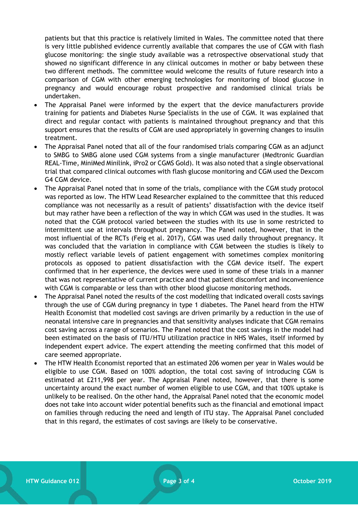patients but that this practice is relatively limited in Wales. The committee noted that there is very little published evidence currently available that compares the use of CGM with flash glucose monitoring: the single study available was a retrospective observational study that showed no significant difference in any clinical outcomes in mother or baby between these two different methods. The committee would welcome the results of future research into a comparison of CGM with other emerging technologies for monitoring of blood glucose in pregnancy and would encourage robust prospective and randomised clinical trials be undertaken.

- The Appraisal Panel were informed by the expert that the device manufacturers provide training for patients and Diabetes Nurse Specialists in the use of CGM. It was explained that direct and regular contact with patients is maintained throughout pregnancy and that this support ensures that the results of CGM are used appropriately in governing changes to insulin treatment.
- The Appraisal Panel noted that all of the four randomised trials comparing CGM as an adjunct to SMBG to SMBG alone used CGM systems from a single manufacturer (Medtronic Guardian REAL-Time, MiniMed Minilink, iPro2 or CGMS Gold). It was also noted that a single observational trial that compared clinical outcomes with flash glucose monitoring and CGM used the Dexcom G4 CGM device.
- The Appraisal Panel noted that in some of the trials, compliance with the CGM study protocol was reported as low. The HTW Lead Researcher explained to the committee that this reduced compliance was not necessarily as a result of patients' dissatisfaction with the device itself but may rather have been a reflection of the way in which CGM was used in the studies. It was noted that the CGM protocol varied between the studies with its use in some restricted to intermittent use at intervals throughout pregnancy. The Panel noted, however, that in the most influential of the RCTs (Feig et al. 2017), CGM was used daily throughout pregnancy. It was concluded that the variation in compliance with CGM between the studies is likely to mostly reflect variable levels of patient engagement with sometimes complex monitoring protocols as opposed to patient dissatisfaction with the CGM device itself. The expert confirmed that in her experience, the devices were used in some of these trials in a manner that was not representative of current practice and that patient discomfort and inconvenience with CGM is comparable or less than with other blood glucose monitoring methods.
- The Appraisal Panel noted the results of the cost modelling that indicated overall costs savings through the use of CGM during pregnancy in type 1 diabetes. The Panel heard from the HTW Health Economist that modelled cost savings are driven primarily by a reduction in the use of neonatal intensive care in pregnancies and that sensitivity analyses indicate that CGM remains cost saving across a range of scenarios. The Panel noted that the cost savings in the model had been estimated on the basis of ITU/HTU utilization practice in NHS Wales, itself informed by independent expert advice. The expert attending the meeting confirmed that this model of care seemed appropriate.
- The HTW Health Economist reported that an estimated 206 women per year in Wales would be eligible to use CGM. Based on 100% adoption, the total cost saving of introducing CGM is estimated at £211,998 per year. The Appraisal Panel noted, however, that there is some uncertainty around the exact number of women eligible to use CGM, and that 100% uptake is unlikely to be realised. On the other hand, the Appraisal Panel noted that the economic model does not take into account wider potential benefits such as the financial and emotional impact on families through reducing the need and length of ITU stay. The Appraisal Panel concluded that in this regard, the estimates of cost savings are likely to be conservative.